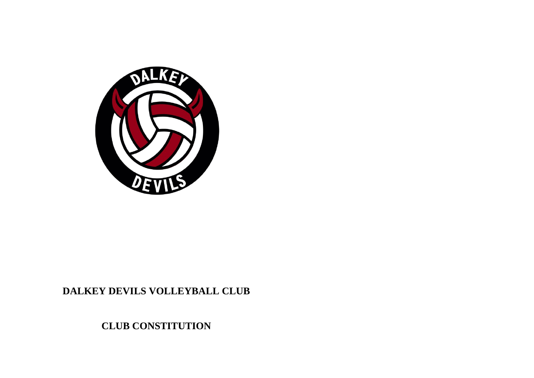

## **DALKEY DEVILS VOLLEYBALL CLUB**

**CLUB CONSTITUTION**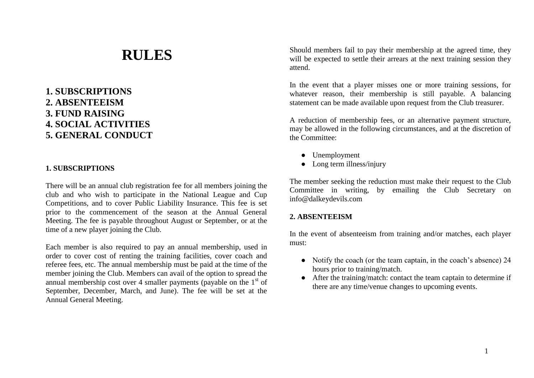# **RULES**

### **1. SUBSCRIPTIONS 2. ABSENTEEISM 3. FUND RAISING 4. SOCIAL ACTIVITIES 5. GENERAL CONDUCT**

#### **1. SUBSCRIPTIONS**

There will be an annual club registration fee for all members joining the club and who wish to participate in the National League and Cup Competitions, and to cover Public Liability Insurance. This fee is set prior to the commencement of the season at the Annual General Meeting. The fee is payable throughout August or September, or at the time of a new player joining the Club.

Each member is also required to pay an annual membership, used in order to cover cost of renting the training facilities, cover coach and referee fees, etc. The annual membership must be paid at the time of the member joining the Club. Members can avail of the option to spread the annual membership cost over 4 smaller payments (payable on the  $1<sup>st</sup>$  of September, December, March, and June). The fee will be set at the Annual General Meeting.

Should members fail to pay their membership at the agreed time, they will be expected to settle their arrears at the next training session they attend.

In the event that a player misses one or more training sessions, for whatever reason, their membership is still payable. A balancing statement can be made available upon request from the Club treasurer.

A reduction of membership fees, or an alternative payment structure, may be allowed in the following circumstances, and at the discretion of the Committee:

- Unemployment
- Long term illness/injury

The member seeking the reduction must make their request to the Club Committee in writing, by emailing the Club Secretary on info@dalkeydevils.com

#### **2. ABSENTEEISM**

In the event of absenteeism from training and/or matches, each player must:

- Notify the coach (or the team captain, in the coach's absence) 24 hours prior to training/match.
- After the training/match: contact the team captain to determine if there are any time/venue changes to upcoming events.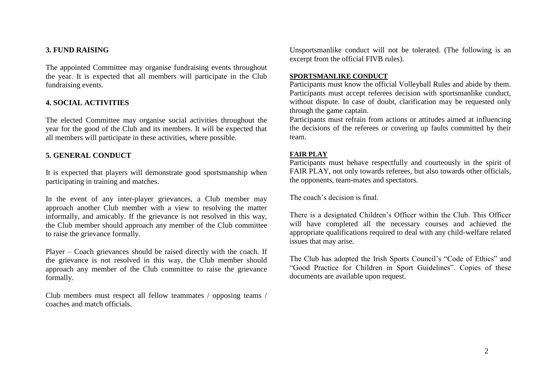### **3. FUND RAISING**

The appointed Committee may organise fundraising events throughout the year. It is expected that all members will participate in the Club fundraising events.

### **4. SOCIAL ACTIVITIES**

The elected Committee may organise social activities throughout the year for the good of the Club and its members. It will be expected that all members will participate in these activities, where possible.

### **5. GENERAL CONDUCT**

It is expected that players will demonstrate good sportsmanship when participating in training and matches.

In the event of any inter-player grievances, a Club member may approach another Club member with a view to resolving the matter informally, and amicably. If the grievance is not resolved in this way, the Club member should approach any member of the Club committee to raise the grievance formally.

Player – Coach grievances should be raised directly with the coach. If the grievance is not resolved in this way, the Club member should approach any member of the Club committee to raise the grievance formally.

Club members must respect all fellow teammates / opposing teams / coaches and match officials.

Unsportsmanlike conduct will not be tolerated. (The following is an excerpt from the official FIVB rules).

#### **SPORTSMANLIKE CONDUCT**

Participants must know the official Volleyball Rules and abide by them. Participants must accept referees decision with sportsmanlike conduct, without dispute. In case of doubt, clarification may be requested only through the game captain.

Participants must refrain from actions or attitudes aimed at influencing the decisions of the referees or covering up faults committed by their team.

#### **FAIR PLAY**

Participants must behave respectfully and courteously in the spirit of FAIR PLAY, not only towards referees, but also towards other officials, the opponents, team-mates and spectators.

The coach's decision is final.

There is a designated Children's Officer within the Club. This Officer will have completed all the necessary courses and achieved the appropriate qualifications required to deal with any child-welfare related issues that may arise.

The Club has adopted the Irish Sports Council's "Code of Ethics" and "Good Practice for Children in Sport Guidelines". Copies of these documents are available upon request.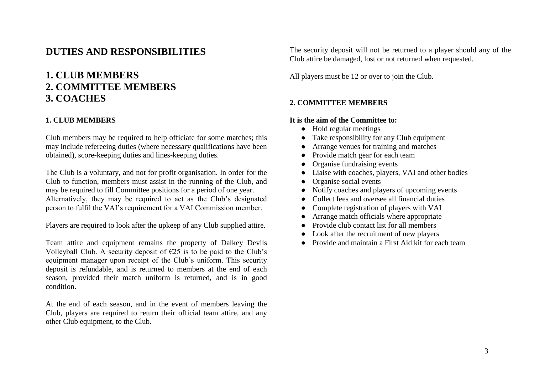### **DUTIES AND RESPONSIBILITIES**

### **1. CLUB MEMBERS 2. COMMITTEE MEMBERS 3. COACHES**

### **1. CLUB MEMBERS**

Club members may be required to help officiate for some matches; this may include refereeing duties (where necessary qualifications have been obtained), score-keeping duties and lines-keeping duties.

The Club is a voluntary, and not for profit organisation. In order for the Club to function, members must assist in the running of the Club, and may be required to fill Committee positions for a period of one year. Alternatively, they may be required to act as the Club's designated person to fulfil the VAI's requirement for a VAI Commission member.

Players are required to look after the upkeep of any Club supplied attire.

Team attire and equipment remains the property of Dalkey Devils Volleyball Club. A security deposit of  $\epsilon$ 25 is to be paid to the Club's equipment manager upon receipt of the Club's uniform. This security deposit is refundable, and is returned to members at the end of each season, provided their match uniform is returned, and is in good condition.

At the end of each season, and in the event of members leaving the Club, players are required to return their official team attire, and any other Club equipment, to the Club.

The security deposit will not be returned to a player should any of the Club attire be damaged, lost or not returned when requested.

All players must be 12 or over to join the Club.

### **2. COMMITTEE MEMBERS**

### **It is the aim of the Committee to:**

- Hold regular meetings
- Take responsibility for any Club equipment
- Arrange venues for training and matches
- Provide match gear for each team
- Organise fundraising events
- Liaise with coaches, players, VAI and other bodies
- Organise social events
- Notify coaches and players of upcoming events
- Collect fees and oversee all financial duties
- Complete registration of players with VAI
- Arrange match officials where appropriate
- Provide club contact list for all members
- Look after the recruitment of new players
- Provide and maintain a First Aid kit for each team